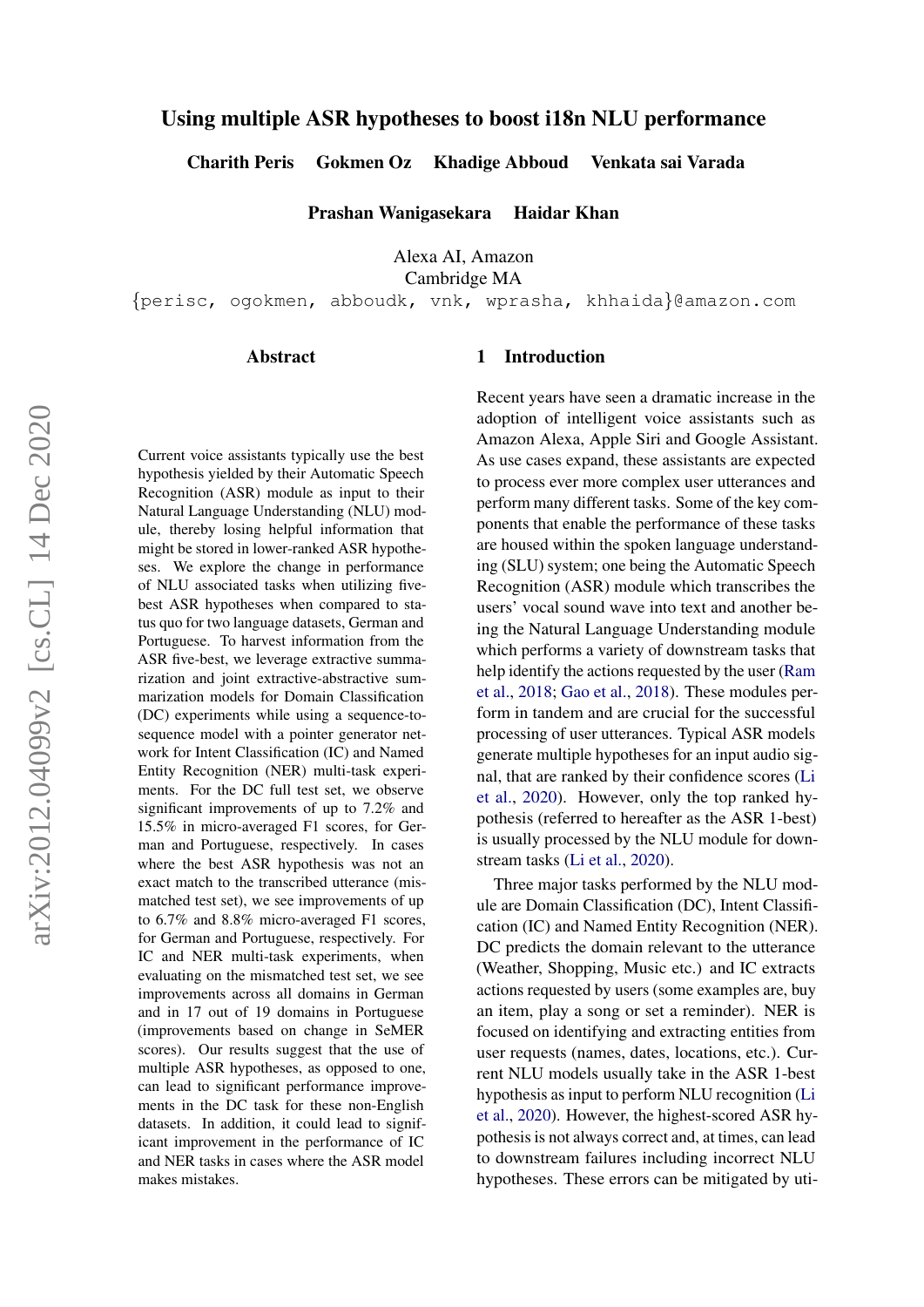# Using multiple ASR hypotheses to boost i18n NLU performance

Charith Peris Gokmen Oz Khadige Abboud Venkata sai Varada

Prashan Wanigasekara Haidar Khan

Alexa AI, Amazon

Cambridge MA

{perisc, ogokmen, abboudk, vnk, wprasha, khhaida}@amazon.com

#### Abstract

Current voice assistants typically use the best hypothesis yielded by their Automatic Speech Recognition (ASR) module as input to their Natural Language Understanding (NLU) module, thereby losing helpful information that might be stored in lower-ranked ASR hypotheses. We explore the change in performance of NLU associated tasks when utilizing fivebest ASR hypotheses when compared to status quo for two language datasets, German and Portuguese. To harvest information from the ASR five-best, we leverage extractive summarization and joint extractive-abstractive summarization models for Domain Classification (DC) experiments while using a sequence-tosequence model with a pointer generator network for Intent Classification (IC) and Named Entity Recognition (NER) multi-task experiments. For the DC full test set, we observe significant improvements of up to 7.2% and 15.5% in micro-averaged F1 scores, for German and Portuguese, respectively. In cases where the best ASR hypothesis was not an exact match to the transcribed utterance (mismatched test set), we see improvements of up to 6.7% and 8.8% micro-averaged F1 scores, for German and Portuguese, respectively. For IC and NER multi-task experiments, when evaluating on the mismatched test set, we see improvements across all domains in German and in 17 out of 19 domains in Portuguese (improvements based on change in SeMER scores). Our results suggest that the use of multiple ASR hypotheses, as opposed to one, can lead to significant performance improvements in the DC task for these non-English datasets. In addition, it could lead to significant improvement in the performance of IC and NER tasks in cases where the ASR model makes mistakes.

### 1 Introduction

Recent years have seen a dramatic increase in the adoption of intelligent voice assistants such as Amazon Alexa, Apple Siri and Google Assistant. As use cases expand, these assistants are expected to process ever more complex user utterances and perform many different tasks. Some of the key components that enable the performance of these tasks are housed within the spoken language understanding (SLU) system; one being the Automatic Speech Recognition (ASR) module which transcribes the users' vocal sound wave into text and another being the Natural Language Understanding module which performs a variety of downstream tasks that help identify the actions requested by the user [\(Ram](#page-8-0) [et al.,](#page-8-0) [2018;](#page-8-0) [Gao et al.,](#page-8-1) [2018\)](#page-8-1). These modules perform in tandem and are crucial for the successful processing of user utterances. Typical ASR models generate multiple hypotheses for an input audio signal, that are ranked by their confidence scores [\(Li](#page-8-2) [et al.,](#page-8-2) [2020\)](#page-8-2). However, only the top ranked hypothesis (referred to hereafter as the ASR 1-best) is usually processed by the NLU module for downstream tasks [\(Li et al.,](#page-8-2) [2020\)](#page-8-2).

Three major tasks performed by the NLU module are Domain Classification (DC), Intent Classification (IC) and Named Entity Recognition (NER). DC predicts the domain relevant to the utterance (Weather, Shopping, Music etc.) and IC extracts actions requested by users (some examples are, buy an item, play a song or set a reminder). NER is focused on identifying and extracting entities from user requests (names, dates, locations, etc.). Current NLU models usually take in the ASR 1-best hypothesis as input to perform NLU recognition [\(Li](#page-8-2) [et al.,](#page-8-2) [2020\)](#page-8-2). However, the highest-scored ASR hypothesis is not always correct and, at times, can lead to downstream failures including incorrect NLU hypotheses. These errors can be mitigated by uti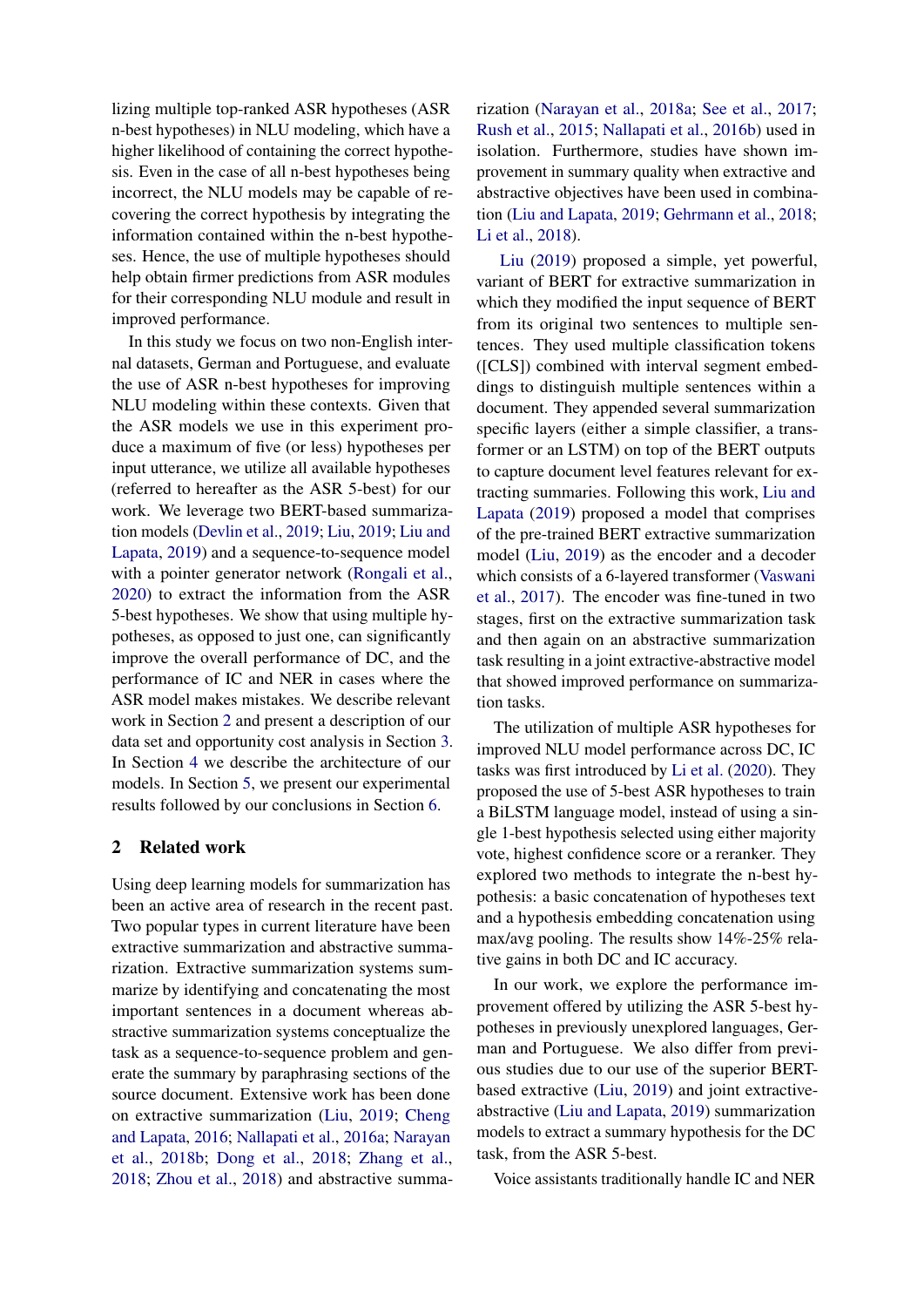lizing multiple top-ranked ASR hypotheses (ASR n-best hypotheses) in NLU modeling, which have a higher likelihood of containing the correct hypothesis. Even in the case of all n-best hypotheses being incorrect, the NLU models may be capable of recovering the correct hypothesis by integrating the information contained within the n-best hypotheses. Hence, the use of multiple hypotheses should help obtain firmer predictions from ASR modules for their corresponding NLU module and result in improved performance.

In this study we focus on two non-English internal datasets, German and Portuguese, and evaluate the use of ASR n-best hypotheses for improving NLU modeling within these contexts. Given that the ASR models we use in this experiment produce a maximum of five (or less) hypotheses per input utterance, we utilize all available hypotheses (referred to hereafter as the ASR 5-best) for our work. We leverage two BERT-based summarization models [\(Devlin et al.,](#page-8-3) [2019;](#page-8-3) [Liu,](#page-8-4) [2019;](#page-8-4) [Liu and](#page-8-5) [Lapata,](#page-8-5) [2019\)](#page-8-5) and a sequence-to-sequence model with a pointer generator network [\(Rongali et al.,](#page-9-0) [2020\)](#page-9-0) to extract the information from the ASR 5-best hypotheses. We show that using multiple hypotheses, as opposed to just one, can significantly improve the overall performance of DC, and the performance of IC and NER in cases where the ASR model makes mistakes. We describe relevant work in Section [2](#page-1-0) and present a description of our data set and opportunity cost analysis in Section [3.](#page-2-0) In Section [4](#page-2-1) we describe the architecture of our models. In Section [5,](#page-4-0) we present our experimental results followed by our conclusions in Section [6.](#page-7-0)

## <span id="page-1-0"></span>2 Related work

Using deep learning models for summarization has been an active area of research in the recent past. Two popular types in current literature have been extractive summarization and abstractive summarization. Extractive summarization systems summarize by identifying and concatenating the most important sentences in a document whereas abstractive summarization systems conceptualize the task as a sequence-to-sequence problem and generate the summary by paraphrasing sections of the source document. Extensive work has been done on extractive summarization [\(Liu,](#page-8-4) [2019;](#page-8-4) [Cheng](#page-8-6) [and Lapata,](#page-8-6) [2016;](#page-8-6) [Nallapati et al.,](#page-8-7) [2016a;](#page-8-7) [Narayan](#page-8-8) [et al.,](#page-8-8) [2018b;](#page-8-8) [Dong et al.,](#page-8-9) [2018;](#page-8-9) [Zhang et al.,](#page-9-1) [2018;](#page-9-1) [Zhou et al.,](#page-9-2) [2018\)](#page-9-2) and abstractive summarization [\(Narayan et al.,](#page-8-10) [2018a;](#page-8-10) [See et al.,](#page-9-3) [2017;](#page-9-3) [Rush et al.,](#page-9-4) [2015;](#page-9-4) [Nallapati et al.,](#page-8-11) [2016b\)](#page-8-11) used in isolation. Furthermore, studies have shown improvement in summary quality when extractive and abstractive objectives have been used in combination [\(Liu and Lapata,](#page-8-5) [2019;](#page-8-5) [Gehrmann et al.,](#page-8-12) [2018;](#page-8-12) [Li et al.,](#page-8-13) [2018\)](#page-8-13).

[Liu](#page-8-4) [\(2019\)](#page-8-4) proposed a simple, yet powerful, variant of BERT for extractive summarization in which they modified the input sequence of BERT from its original two sentences to multiple sentences. They used multiple classification tokens ([CLS]) combined with interval segment embeddings to distinguish multiple sentences within a document. They appended several summarization specific layers (either a simple classifier, a transformer or an LSTM) on top of the BERT outputs to capture document level features relevant for extracting summaries. Following this work, [Liu and](#page-8-5) [Lapata](#page-8-5) [\(2019\)](#page-8-5) proposed a model that comprises of the pre-trained BERT extractive summarization model [\(Liu,](#page-8-4) [2019\)](#page-8-4) as the encoder and a decoder which consists of a 6-layered transformer [\(Vaswani](#page-9-5) [et al.,](#page-9-5) [2017\)](#page-9-5). The encoder was fine-tuned in two stages, first on the extractive summarization task and then again on an abstractive summarization task resulting in a joint extractive-abstractive model that showed improved performance on summarization tasks.

The utilization of multiple ASR hypotheses for improved NLU model performance across DC, IC tasks was first introduced by [Li et al.](#page-8-2) [\(2020\)](#page-8-2). They proposed the use of 5-best ASR hypotheses to train a BiLSTM language model, instead of using a single 1-best hypothesis selected using either majority vote, highest confidence score or a reranker. They explored two methods to integrate the n-best hypothesis: a basic concatenation of hypotheses text and a hypothesis embedding concatenation using max/avg pooling. The results show 14%-25% relative gains in both DC and IC accuracy.

In our work, we explore the performance improvement offered by utilizing the ASR 5-best hypotheses in previously unexplored languages, German and Portuguese. We also differ from previous studies due to our use of the superior BERTbased extractive [\(Liu,](#page-8-4) [2019\)](#page-8-4) and joint extractiveabstractive [\(Liu and Lapata,](#page-8-5) [2019\)](#page-8-5) summarization models to extract a summary hypothesis for the DC task, from the ASR 5-best.

Voice assistants traditionally handle IC and NER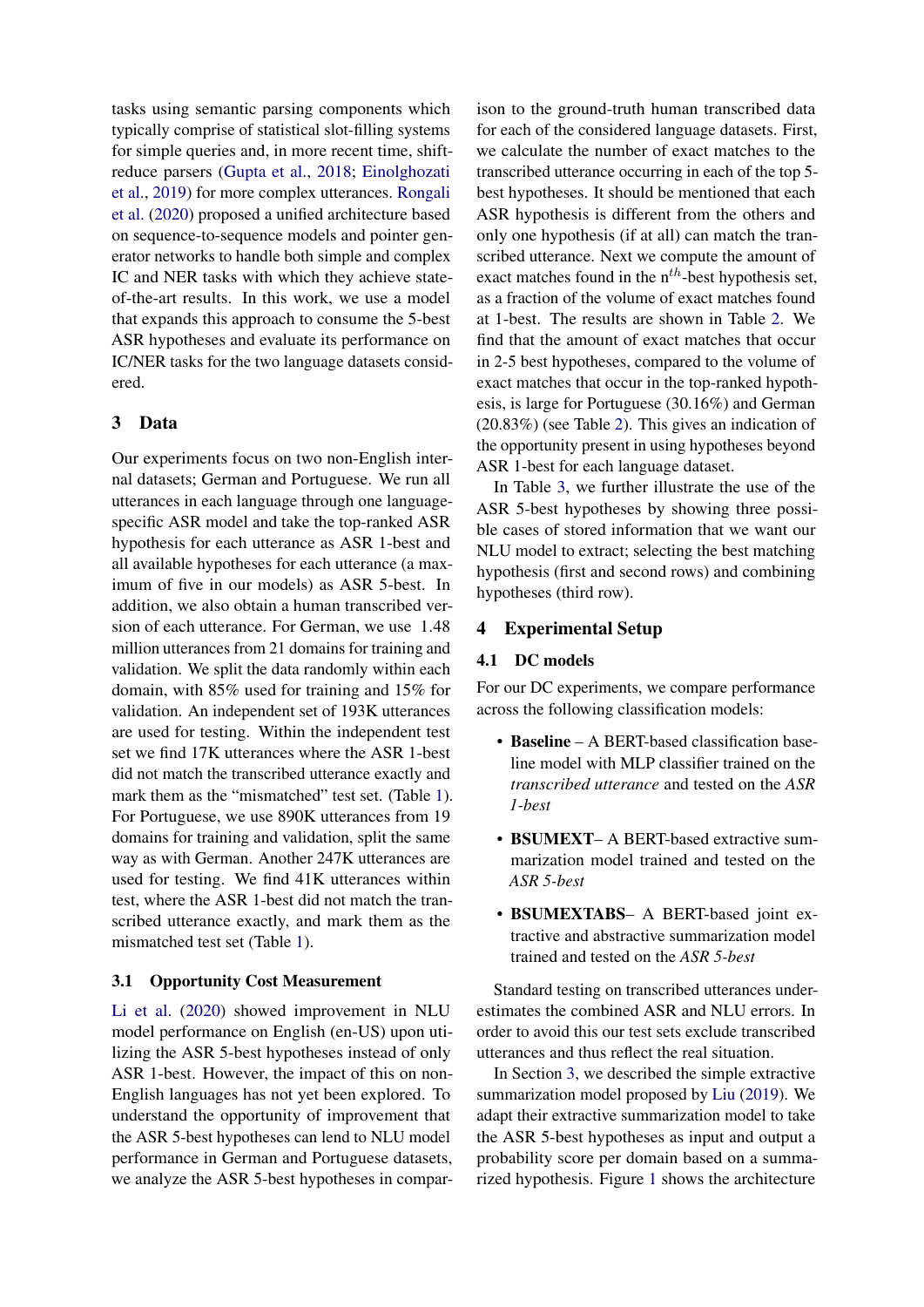tasks using semantic parsing components which typically comprise of statistical slot-filling systems for simple queries and, in more recent time, shiftreduce parsers [\(Gupta et al.,](#page-8-14) [2018;](#page-8-14) [Einolghozati](#page-8-15) [et al.,](#page-8-15) [2019\)](#page-8-15) for more complex utterances. [Rongali](#page-9-0) [et al.](#page-9-0) [\(2020\)](#page-9-0) proposed a unified architecture based on sequence-to-sequence models and pointer generator networks to handle both simple and complex IC and NER tasks with which they achieve stateof-the-art results. In this work, we use a model that expands this approach to consume the 5-best ASR hypotheses and evaluate its performance on IC/NER tasks for the two language datasets considered.

# <span id="page-2-0"></span>3 Data

Our experiments focus on two non-English internal datasets; German and Portuguese. We run all utterances in each language through one languagespecific ASR model and take the top-ranked ASR hypothesis for each utterance as ASR 1-best and all available hypotheses for each utterance (a maximum of five in our models) as ASR 5-best. In addition, we also obtain a human transcribed version of each utterance. For German, we use 1.48 million utterances from 21 domains for training and validation. We split the data randomly within each domain, with 85% used for training and 15% for validation. An independent set of 193K utterances are used for testing. Within the independent test set we find 17K utterances where the ASR 1-best did not match the transcribed utterance exactly and mark them as the "mismatched" test set. (Table [1\)](#page-3-0). For Portuguese, we use 890K utterances from 19 domains for training and validation, split the same way as with German. Another 247K utterances are used for testing. We find 41K utterances within test, where the ASR 1-best did not match the transcribed utterance exactly, and mark them as the mismatched test set (Table [1\)](#page-3-0).

## <span id="page-2-2"></span>3.1 Opportunity Cost Measurement

[Li et al.](#page-8-2) [\(2020\)](#page-8-2) showed improvement in NLU model performance on English (en-US) upon utilizing the ASR 5-best hypotheses instead of only ASR 1-best. However, the impact of this on non-English languages has not yet been explored. To understand the opportunity of improvement that the ASR 5-best hypotheses can lend to NLU model performance in German and Portuguese datasets, we analyze the ASR 5-best hypotheses in compar-

ison to the ground-truth human transcribed data for each of the considered language datasets. First, we calculate the number of exact matches to the transcribed utterance occurring in each of the top 5 best hypotheses. It should be mentioned that each ASR hypothesis is different from the others and only one hypothesis (if at all) can match the transcribed utterance. Next we compute the amount of exact matches found in the  $n^{th}$ -best hypothesis set, as a fraction of the volume of exact matches found at 1-best. The results are shown in Table [2.](#page-3-1) We find that the amount of exact matches that occur in 2-5 best hypotheses, compared to the volume of exact matches that occur in the top-ranked hypothesis, is large for Portuguese (30.16%) and German (20.83%) (see Table [2\)](#page-3-1). This gives an indication of the opportunity present in using hypotheses beyond ASR 1-best for each language dataset.

In Table [3,](#page-4-1) we further illustrate the use of the ASR 5-best hypotheses by showing three possible cases of stored information that we want our NLU model to extract; selecting the best matching hypothesis (first and second rows) and combining hypotheses (third row).

# <span id="page-2-1"></span>4 Experimental Setup

#### 4.1 DC models

For our DC experiments, we compare performance across the following classification models:

- Baseline A BERT-based classification baseline model with MLP classifier trained on the *transcribed utterance* and tested on the *ASR 1-best*
- BSUMEXT- A BERT-based extractive summarization model trained and tested on the *ASR 5-best*
- BSUMEXTABS– A BERT-based joint extractive and abstractive summarization model trained and tested on the *ASR 5-best*

Standard testing on transcribed utterances underestimates the combined ASR and NLU errors. In order to avoid this our test sets exclude transcribed utterances and thus reflect the real situation.

In Section [3,](#page-2-0) we described the simple extractive summarization model proposed by [Liu](#page-8-4) [\(2019\)](#page-8-4). We adapt their extractive summarization model to take the ASR 5-best hypotheses as input and output a probability score per domain based on a summarized hypothesis. Figure [1](#page-4-2) shows the architecture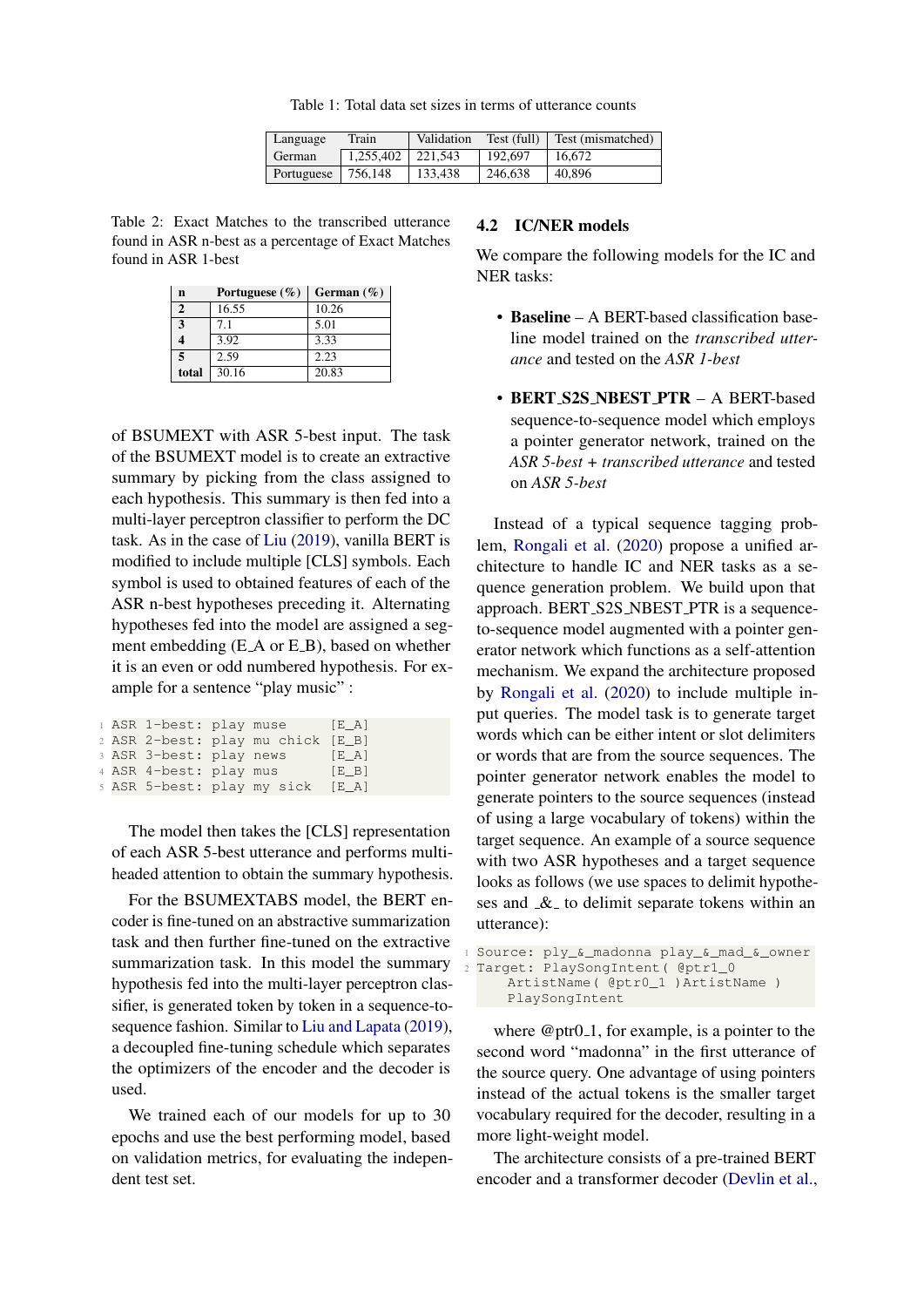Table 1: Total data set sizes in terms of utterance counts

| Language               | Train                 | Validation | Test (full) | Test (mismatched) |
|------------------------|-----------------------|------------|-------------|-------------------|
| <b>German</b>          | $1.255.402$   221.543 |            | 192,697     | 16.672            |
| Portuguese   $756,148$ |                       | 133.438    | 246,638     | 40,896            |

<span id="page-3-1"></span><span id="page-3-0"></span>Table 2: Exact Matches to the transcribed utterance found in ASR n-best as a percentage of Exact Matches found in ASR 1-best

| n              | Portuguese $(\% )$ | German $(\% )$ |
|----------------|--------------------|----------------|
| $\overline{2}$ | 16.55              | 10.26          |
| 3              | 7.1                | 5.01           |
| 4              | 3.92               | 3.33           |
| 5              | 2.59               | 2.23           |
| total          | 30.16              | 20.83          |

of BSUMEXT with ASR 5-best input. The task of the BSUMEXT model is to create an extractive summary by picking from the class assigned to each hypothesis. This summary is then fed into a multi-layer perceptron classifier to perform the DC task. As in the case of [Liu](#page-8-4) [\(2019\)](#page-8-4), vanilla BERT is modified to include multiple [CLS] symbols. Each symbol is used to obtained features of each of the ASR n-best hypotheses preceding it. Alternating hypotheses fed into the model are assigned a segment embedding (E\_A or E\_B), based on whether it is an even or odd numbered hypothesis. For example for a sentence "play music" :

|  |                        | 1 ASR 1-best: play muse           | [E A] |
|--|------------------------|-----------------------------------|-------|
|  |                        | 2 ASR 2-best: play mu chick [E_B] |       |
|  |                        | 3 ASR 3-best: play news           | [E A] |
|  | 4 ASR 4-best: play mus |                                   | [E B] |
|  |                        | 5 ASR 5-best: play my sick [E_A]  |       |

The model then takes the [CLS] representation of each ASR 5-best utterance and performs multiheaded attention to obtain the summary hypothesis.

For the BSUMEXTABS model, the BERT encoder is fine-tuned on an abstractive summarization task and then further fine-tuned on the extractive summarization task. In this model the summary hypothesis fed into the multi-layer perceptron classifier, is generated token by token in a sequence-tosequence fashion. Similar to [Liu and Lapata](#page-8-5) [\(2019\)](#page-8-5), a decoupled fine-tuning schedule which separates the optimizers of the encoder and the decoder is used.

We trained each of our models for up to 30 epochs and use the best performing model, based on validation metrics, for evaluating the independent test set.

#### <span id="page-3-2"></span>4.2 IC/NER models

We compare the following models for the IC and NER tasks:

- Baseline A BERT-based classification baseline model trained on the *transcribed utterance* and tested on the *ASR 1-best*
- BERT S2S NBEST PTR A BERT-based sequence-to-sequence model which employs a pointer generator network, trained on the *ASR 5-best + transcribed utterance* and tested on *ASR 5-best*

Instead of a typical sequence tagging problem, [Rongali et al.](#page-9-0) [\(2020\)](#page-9-0) propose a unified architecture to handle IC and NER tasks as a sequence generation problem. We build upon that approach. BERT\_S2S\_NBEST\_PTR is a sequenceto-sequence model augmented with a pointer generator network which functions as a self-attention mechanism. We expand the architecture proposed by [Rongali et al.](#page-9-0) [\(2020\)](#page-9-0) to include multiple input queries. The model task is to generate target words which can be either intent or slot delimiters or words that are from the source sequences. The pointer generator network enables the model to generate pointers to the source sequences (instead of using a large vocabulary of tokens) within the target sequence. An example of a source sequence with two ASR hypotheses and a target sequence looks as follows (we use spaces to delimit hypotheses and  $\&$  to delimit separate tokens within an utterance):

```
1 Source: ply_&_madonna play_&_mad_&_owner
Target: PlaySongIntent ( @ptr1_0
    ArtistName( @ptr0_1 )ArtistName )
    PlaySongIntent
```
where  $@ptr0_1$ , for example, is a pointer to the second word "madonna" in the first utterance of the source query. One advantage of using pointers instead of the actual tokens is the smaller target vocabulary required for the decoder, resulting in a more light-weight model.

The architecture consists of a pre-trained BERT encoder and a transformer decoder [\(Devlin et al.,](#page-8-3)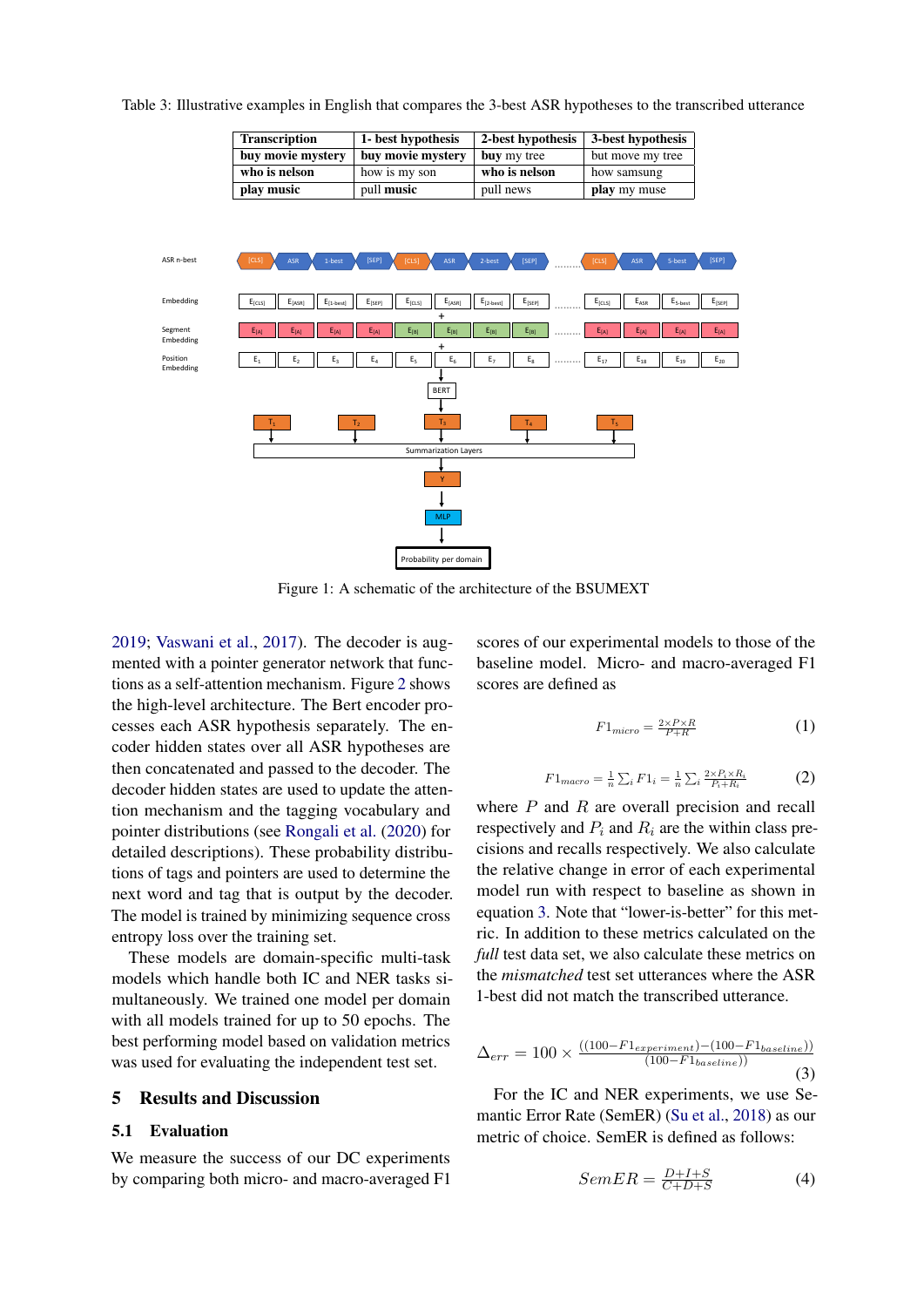<span id="page-4-2"></span>

<span id="page-4-1"></span>Table 3: Illustrative examples in English that compares the 3-best ASR hypotheses to the transcribed utterance

Transcription 1- best hypothesis 2-best hypothesis 3-best hypothesis

Figure 1: A schematic of the architecture of the BSUMEXT

[2019;](#page-8-3) [Vaswani et al.,](#page-9-5) [2017\)](#page-9-5). The decoder is augmented with a pointer generator network that functions as a self-attention mechanism. Figure [2](#page-5-0) shows the high-level architecture. The Bert encoder processes each ASR hypothesis separately. The encoder hidden states over all ASR hypotheses are then concatenated and passed to the decoder. The decoder hidden states are used to update the attention mechanism and the tagging vocabulary and pointer distributions (see [Rongali et al.](#page-9-0) [\(2020\)](#page-9-0) for detailed descriptions). These probability distributions of tags and pointers are used to determine the next word and tag that is output by the decoder. The model is trained by minimizing sequence cross entropy loss over the training set.

These models are domain-specific multi-task models which handle both IC and NER tasks simultaneously. We trained one model per domain with all models trained for up to 50 epochs. The best performing model based on validation metrics was used for evaluating the independent test set.

## <span id="page-4-0"></span>5 Results and Discussion

## 5.1 Evaluation

We measure the success of our DC experiments by comparing both micro- and macro-averaged F1 scores of our experimental models to those of the baseline model. Micro- and macro-averaged F1 scores are defined as

$$
F1_{micro} = \frac{2 \times P \times R}{P + R} \tag{1}
$$

$$
F1_{macro} = \frac{1}{n} \sum_{i} F1_{i} = \frac{1}{n} \sum_{i} \frac{2 \times P_{i} \times R_{i}}{P_{i} + R_{i}} \tag{2}
$$

where  $P$  and  $R$  are overall precision and recall respectively and  $P_i$  and  $R_i$  are the within class precisions and recalls respectively. We also calculate the relative change in error of each experimental model run with respect to baseline as shown in equation [3.](#page-4-3) Note that "lower-is-better" for this metric. In addition to these metrics calculated on the *full* test data set, we also calculate these metrics on the *mismatched* test set utterances where the ASR 1-best did not match the transcribed utterance.

<span id="page-4-3"></span>
$$
\Delta_{err} = 100 \times \frac{((100 - F1_{experiment}) - (100 - F1_{baseline}))}{(100 - F1_{baseline})}
$$
\n(3)

For the IC and NER experiments, we use Semantic Error Rate (SemER) [\(Su et al.,](#page-9-6) [2018\)](#page-9-6) as our metric of choice. SemER is defined as follows:

$$
SemER = \frac{D+I+S}{C+D+S} \tag{4}
$$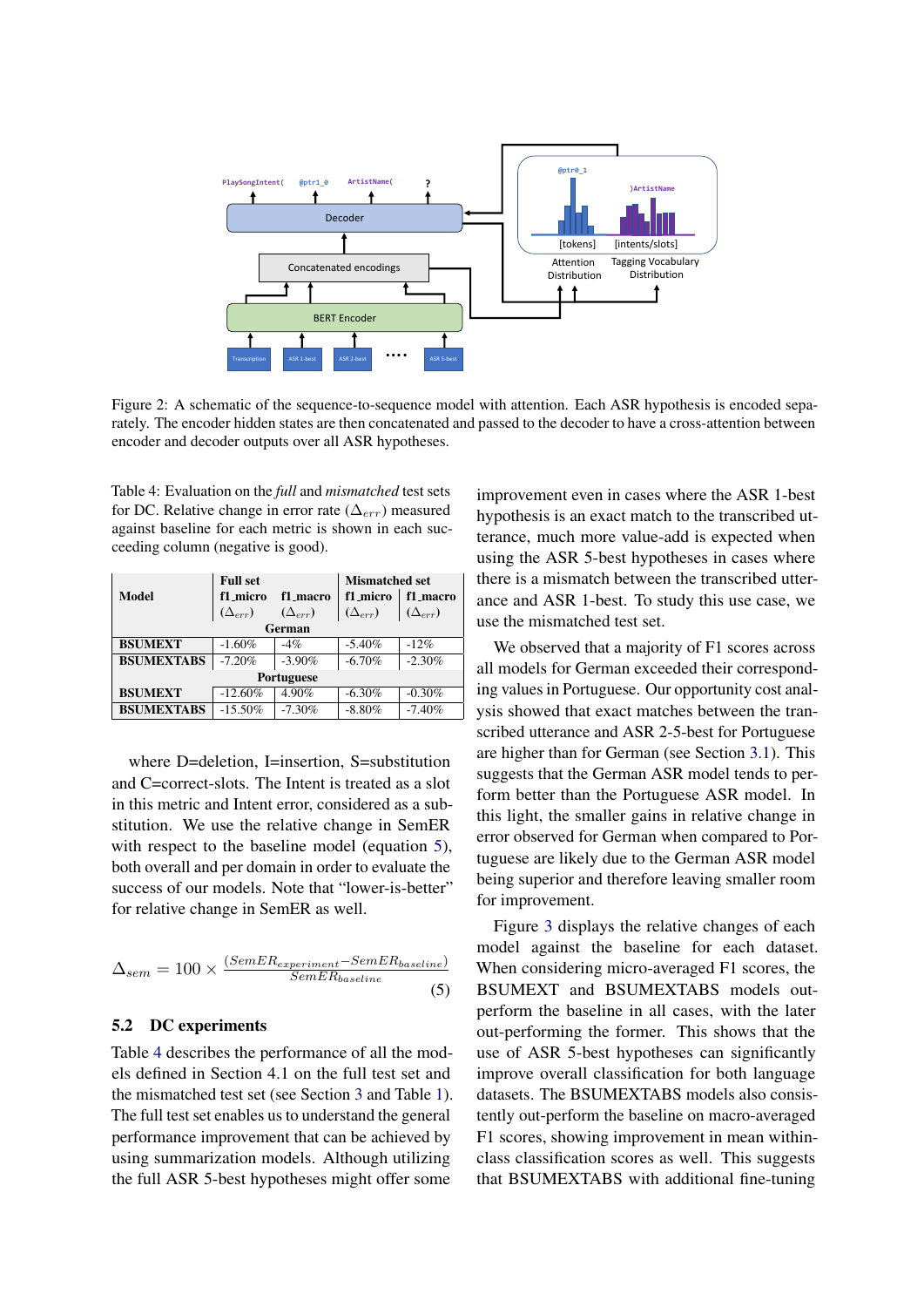<span id="page-5-0"></span>

Figure 2: A schematic of the sequence-to-sequence model with attention. Each ASR hypothesis is encoded separately. The encoder hidden states are then concatenated and passed to the decoder to have a cross-attention between encoder and decoder outputs over all ASR hypotheses.

<span id="page-5-2"></span>Table 4: Evaluation on the *full* and *mismatched* test sets for DC. Relative change in error rate ( $\Delta_{err}$ ) measured against baseline for each metric is shown in each succeeding column (negative is good).

|                   | <b>Full set</b>  |                  | <b>Mismatched set</b> |                  |
|-------------------|------------------|------------------|-----------------------|------------------|
| Model             | f1 micro         | f1 macro         | f1 micro              | f1_macro         |
|                   | $(\Delta_{err})$ | $(\Delta_{err})$ | $(\Delta_{err})$      | $(\Delta_{err})$ |
| German            |                  |                  |                       |                  |
| <b>BSUMEXT</b>    | $-1.60%$         | $-4%$            | $-5.40%$              | $-12%$           |
| <b>BSUMEXTABS</b> | $-7.20%$         | $-3.90\%$        | $-6.70%$              | $-2.30%$         |
| <b>Portuguese</b> |                  |                  |                       |                  |
| <b>BSUMEXT</b>    | $-12.60%$        | 4.90%            | $-6.30%$              | $-0.30%$         |
| <b>BSUMEXTABS</b> | $-15.50%$        | $-7.30\%$        | $-8.80%$              | $-7.40%$         |

where D=deletion, I=insertion, S=substitution and C=correct-slots. The Intent is treated as a slot in this metric and Intent error, considered as a substitution. We use the relative change in SemER with respect to the baseline model (equation [5\)](#page-5-1), both overall and per domain in order to evaluate the success of our models. Note that "lower-is-better" for relative change in SemER as well.

<span id="page-5-1"></span>
$$
\Delta_{sem} = 100 \times \frac{(SemER_{experiment} - SemER_{baseline})}{SemER_{baseline}} \tag{5}
$$

# 5.2 DC experiments

Table [4](#page-5-2) describes the performance of all the models defined in Section 4.1 on the full test set and the mismatched test set (see Section [3](#page-2-0) and Table [1\)](#page-3-0). The full test set enables us to understand the general performance improvement that can be achieved by using summarization models. Although utilizing the full ASR 5-best hypotheses might offer some

improvement even in cases where the ASR 1-best hypothesis is an exact match to the transcribed utterance, much more value-add is expected when using the ASR 5-best hypotheses in cases where there is a mismatch between the transcribed utterance and ASR 1-best. To study this use case, we use the mismatched test set.

We observed that a majority of F1 scores across all models for German exceeded their corresponding values in Portuguese. Our opportunity cost analysis showed that exact matches between the transcribed utterance and ASR 2-5-best for Portuguese are higher than for German (see Section [3.1\)](#page-2-2). This suggests that the German ASR model tends to perform better than the Portuguese ASR model. In this light, the smaller gains in relative change in error observed for German when compared to Portuguese are likely due to the German ASR model being superior and therefore leaving smaller room for improvement.

Figure [3](#page-7-1) displays the relative changes of each model against the baseline for each dataset. When considering micro-averaged F1 scores, the BSUMEXT and BSUMEXTABS models outperform the baseline in all cases, with the later out-performing the former. This shows that the use of ASR 5-best hypotheses can significantly improve overall classification for both language datasets. The BSUMEXTABS models also consistently out-perform the baseline on macro-averaged F1 scores, showing improvement in mean withinclass classification scores as well. This suggests that BSUMEXTABS with additional fine-tuning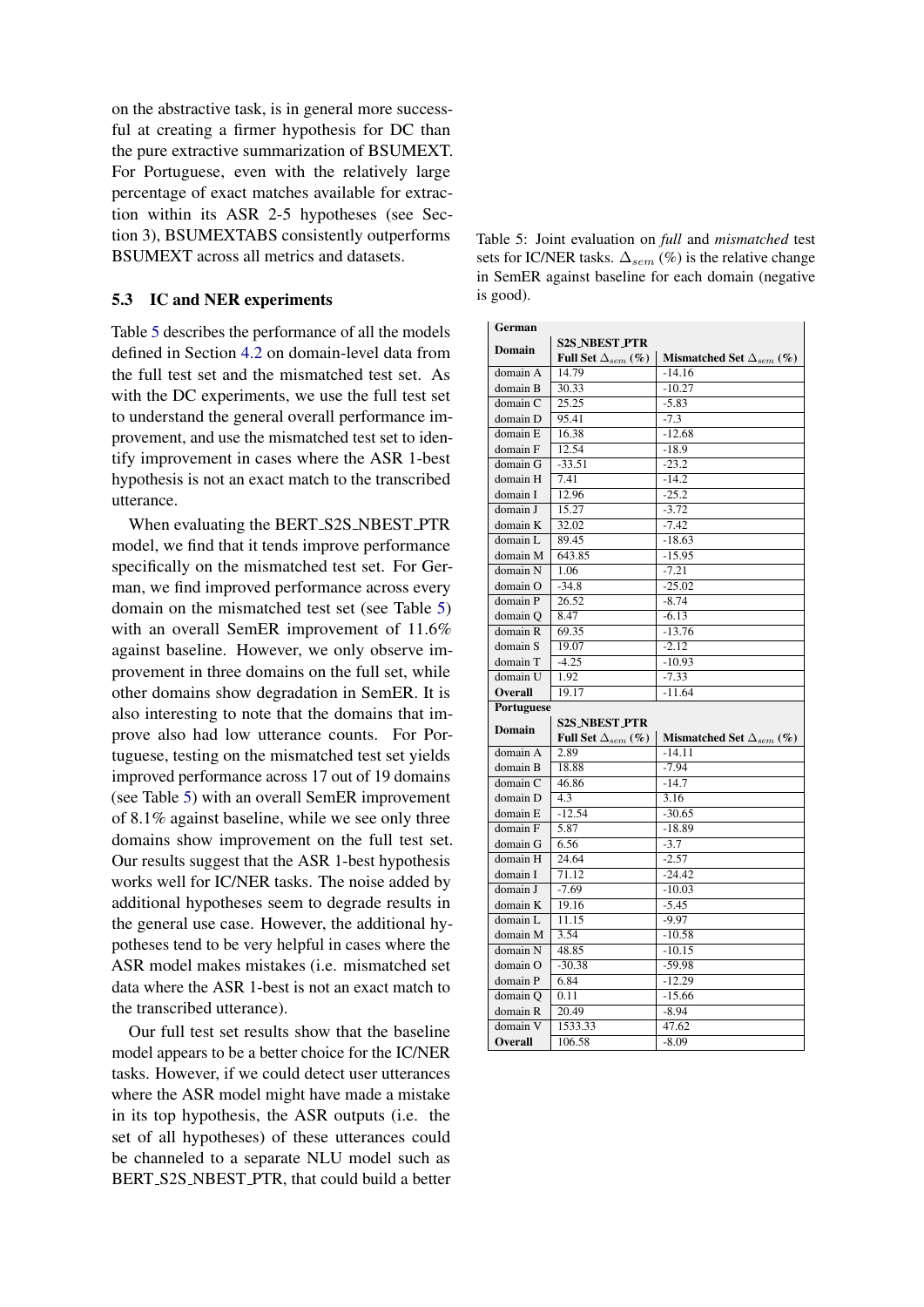on the abstractive task, is in general more successful at creating a firmer hypothesis for DC than the pure extractive summarization of BSUMEXT. For Portuguese, even with the relatively large percentage of exact matches available for extraction within its ASR 2-5 hypotheses (see Section 3), BSUMEXTABS consistently outperforms BSUMEXT across all metrics and datasets.

## 5.3 IC and NER experiments

Table [5](#page-6-0) describes the performance of all the models defined in Section [4.2](#page-3-2) on domain-level data from the full test set and the mismatched test set. As with the DC experiments, we use the full test set to understand the general overall performance improvement, and use the mismatched test set to identify improvement in cases where the ASR 1-best hypothesis is not an exact match to the transcribed utterance.

When evaluating the BERT\_S2S\_NBEST\_PTR model, we find that it tends improve performance specifically on the mismatched test set. For German, we find improved performance across every domain on the mismatched test set (see Table [5\)](#page-6-0) with an overall SemER improvement of 11.6% against baseline. However, we only observe improvement in three domains on the full set, while other domains show degradation in SemER. It is also interesting to note that the domains that improve also had low utterance counts. For Portuguese, testing on the mismatched test set yields improved performance across 17 out of 19 domains (see Table [5\)](#page-6-0) with an overall SemER improvement of 8.1% against baseline, while we see only three domains show improvement on the full test set. Our results suggest that the ASR 1-best hypothesis works well for IC/NER tasks. The noise added by additional hypotheses seem to degrade results in the general use case. However, the additional hypotheses tend to be very helpful in cases where the ASR model makes mistakes (i.e. mismatched set data where the ASR 1-best is not an exact match to the transcribed utterance).

Our full test set results show that the baseline model appears to be a better choice for the IC/NER tasks. However, if we could detect user utterances where the ASR model might have made a mistake in its top hypothesis, the ASR outputs (i.e. the set of all hypotheses) of these utterances could be channeled to a separate NLU model such as BERT S2S NBEST PTR, that could build a better

<span id="page-6-0"></span>Table 5: Joint evaluation on *full* and *mismatched* test sets for IC/NER tasks.  $\Delta_{sem}$  (%) is the relative change in SemER against baseline for each domain (negative is good).

| German        |                             |                                      |  |  |
|---------------|-----------------------------|--------------------------------------|--|--|
|               | <b>S2S_NBEST_PTR</b>        |                                      |  |  |
| <b>Domain</b> | Full Set $\Delta_{sem}$ (%) | Mismatched Set $\Delta_{sem}$ (%)    |  |  |
| domain A      | 14.79                       | $-14.16$                             |  |  |
| domain B      | 30.33                       | $-10.27$                             |  |  |
| domain C      | 25.25                       | $-5.83$                              |  |  |
| domain D      | 95.41                       | $-7.3$                               |  |  |
| domain E      | 16.38                       | $-12.68$                             |  |  |
| domain F      | 12.54                       | $-18.9$                              |  |  |
| domain G      | $-33.51$                    | $-23.2$                              |  |  |
| domain H      | 7.41                        | $-14.2$                              |  |  |
| domain I      | 12.96                       | $-25.2$                              |  |  |
| domain J      | 15.27                       | $-3.72$                              |  |  |
| domain K      | 32.02                       | $-7.42$                              |  |  |
| domain L      | 89.45                       | $-18.63$                             |  |  |
| domain M      | 643.85                      | $-15.95$                             |  |  |
| domain N      | 1.06                        | $-7.21$                              |  |  |
| domain O      | $-34.8$                     | $-25.02$                             |  |  |
| domain P      | 26.52                       | $-8.74$                              |  |  |
| domain Q      | 8.47                        | $-6.13$                              |  |  |
| domain R      | 69.35                       | $-13.76$                             |  |  |
| domain S      | 19.07                       | $-2.12$                              |  |  |
| domain T      | $-4.25$                     | $-10.93$                             |  |  |
| domain U      | 1.92                        | $-7.33$                              |  |  |
| Overall       | 19.17                       | $-11.64$                             |  |  |
| Portuguese    |                             |                                      |  |  |
| <b>Domain</b> | <b>S2S_NBEST_PTR</b>        |                                      |  |  |
|               | Full Set $\Delta_{sem}$ (%) | Mismatched Set $\Delta_{sem}$ $(\%)$ |  |  |
| domain A      | 2.89                        | $-14.11$                             |  |  |
| domain B      | 18.88                       | $-7.94$                              |  |  |
| domain C      | 46.86                       | $-14.7$                              |  |  |
| domain D      | 4.3                         | 3.16                                 |  |  |
| domain E      | $-12.54$                    | $-30.65$                             |  |  |
| domain F      | 5.87                        | $-18.89$                             |  |  |
| domain G      | 6.56                        | $-3.7$                               |  |  |
| domain H      | 24.64                       | $-2.57$                              |  |  |
| domain I      | 71.12                       | $-24.42$                             |  |  |
| domain J      | $-7.69$                     | $-10.03$                             |  |  |
| domain K      | 19.16                       | $-5.45$                              |  |  |
| domain L      | 11.15                       | $-9.97$                              |  |  |
| domain M      | 3.54                        | $-10.58$                             |  |  |
| domain N      | 48.85                       | $-10.15$                             |  |  |
| domain O      | $-30.38$                    | $-59.98$                             |  |  |
| domain P      | 6.84                        | $-12.29$                             |  |  |
| domain Q      | 0.11                        | $-15.66$                             |  |  |
| domain R      | 20.49                       | $-8.94$                              |  |  |
| domain V      | 1533.33                     | 47.62                                |  |  |
| Overall       | 106.58                      | $-8.09$                              |  |  |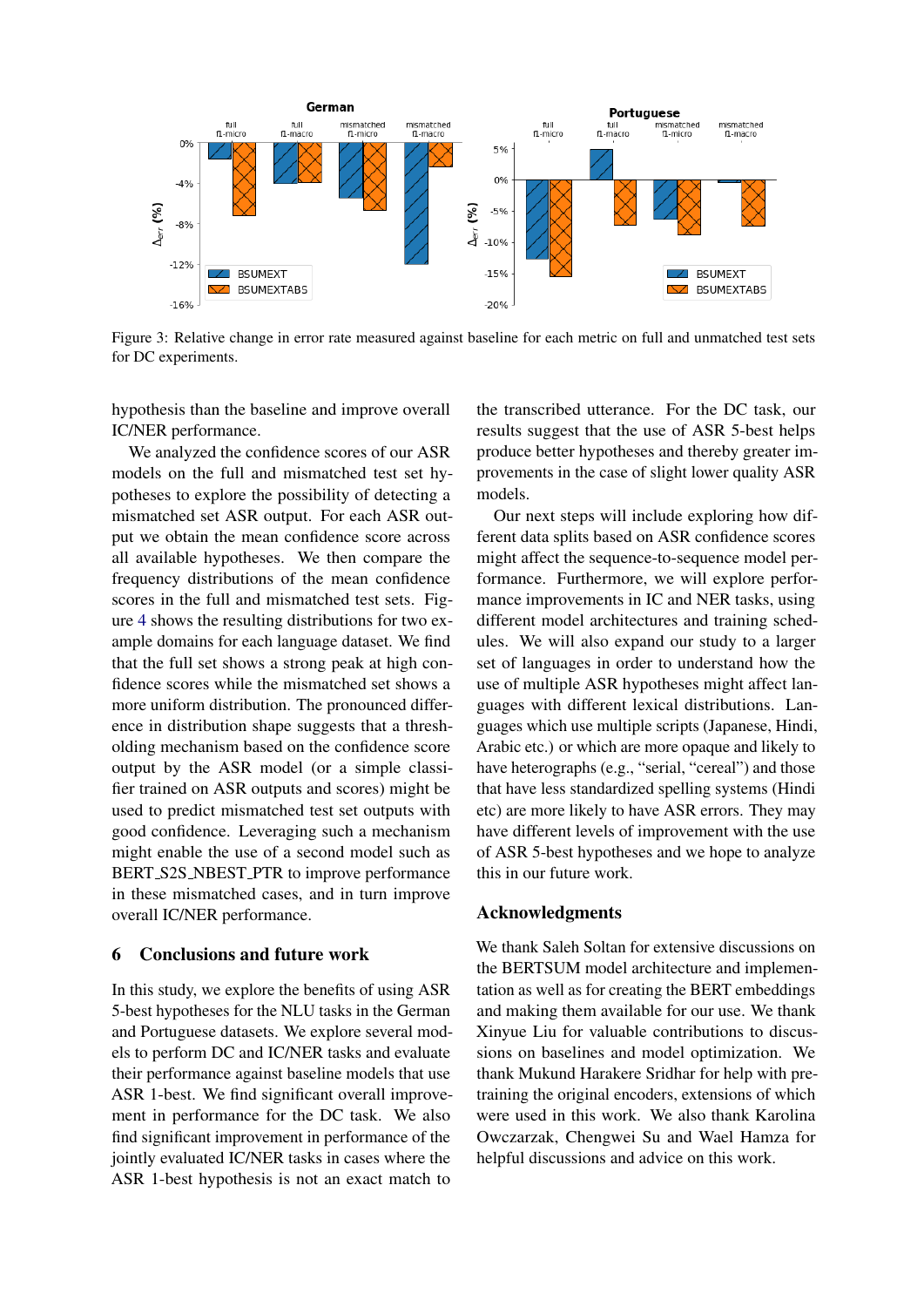<span id="page-7-1"></span>

Figure 3: Relative change in error rate measured against baseline for each metric on full and unmatched test sets for DC experiments.

hypothesis than the baseline and improve overall IC/NER performance.

We analyzed the confidence scores of our ASR models on the full and mismatched test set hypotheses to explore the possibility of detecting a mismatched set ASR output. For each ASR output we obtain the mean confidence score across all available hypotheses. We then compare the frequency distributions of the mean confidence scores in the full and mismatched test sets. Figure [4](#page-8-16) shows the resulting distributions for two example domains for each language dataset. We find that the full set shows a strong peak at high confidence scores while the mismatched set shows a more uniform distribution. The pronounced difference in distribution shape suggests that a thresholding mechanism based on the confidence score output by the ASR model (or a simple classifier trained on ASR outputs and scores) might be used to predict mismatched test set outputs with good confidence. Leveraging such a mechanism might enable the use of a second model such as BERT S2S NBEST PTR to improve performance in these mismatched cases, and in turn improve overall IC/NER performance.

## <span id="page-7-0"></span>6 Conclusions and future work

In this study, we explore the benefits of using ASR 5-best hypotheses for the NLU tasks in the German and Portuguese datasets. We explore several models to perform DC and IC/NER tasks and evaluate their performance against baseline models that use ASR 1-best. We find significant overall improvement in performance for the DC task. We also find significant improvement in performance of the jointly evaluated IC/NER tasks in cases where the ASR 1-best hypothesis is not an exact match to the transcribed utterance. For the DC task, our results suggest that the use of ASR 5-best helps produce better hypotheses and thereby greater improvements in the case of slight lower quality ASR models.

Our next steps will include exploring how different data splits based on ASR confidence scores might affect the sequence-to-sequence model performance. Furthermore, we will explore performance improvements in IC and NER tasks, using different model architectures and training schedules. We will also expand our study to a larger set of languages in order to understand how the use of multiple ASR hypotheses might affect languages with different lexical distributions. Languages which use multiple scripts (Japanese, Hindi, Arabic etc.) or which are more opaque and likely to have heterographs (e.g., "serial, "cereal") and those that have less standardized spelling systems (Hindi etc) are more likely to have ASR errors. They may have different levels of improvement with the use of ASR 5-best hypotheses and we hope to analyze this in our future work.

# Acknowledgments

We thank Saleh Soltan for extensive discussions on the BERTSUM model architecture and implementation as well as for creating the BERT embeddings and making them available for our use. We thank Xinyue Liu for valuable contributions to discussions on baselines and model optimization. We thank Mukund Harakere Sridhar for help with pretraining the original encoders, extensions of which were used in this work. We also thank Karolina Owczarzak, Chengwei Su and Wael Hamza for helpful discussions and advice on this work.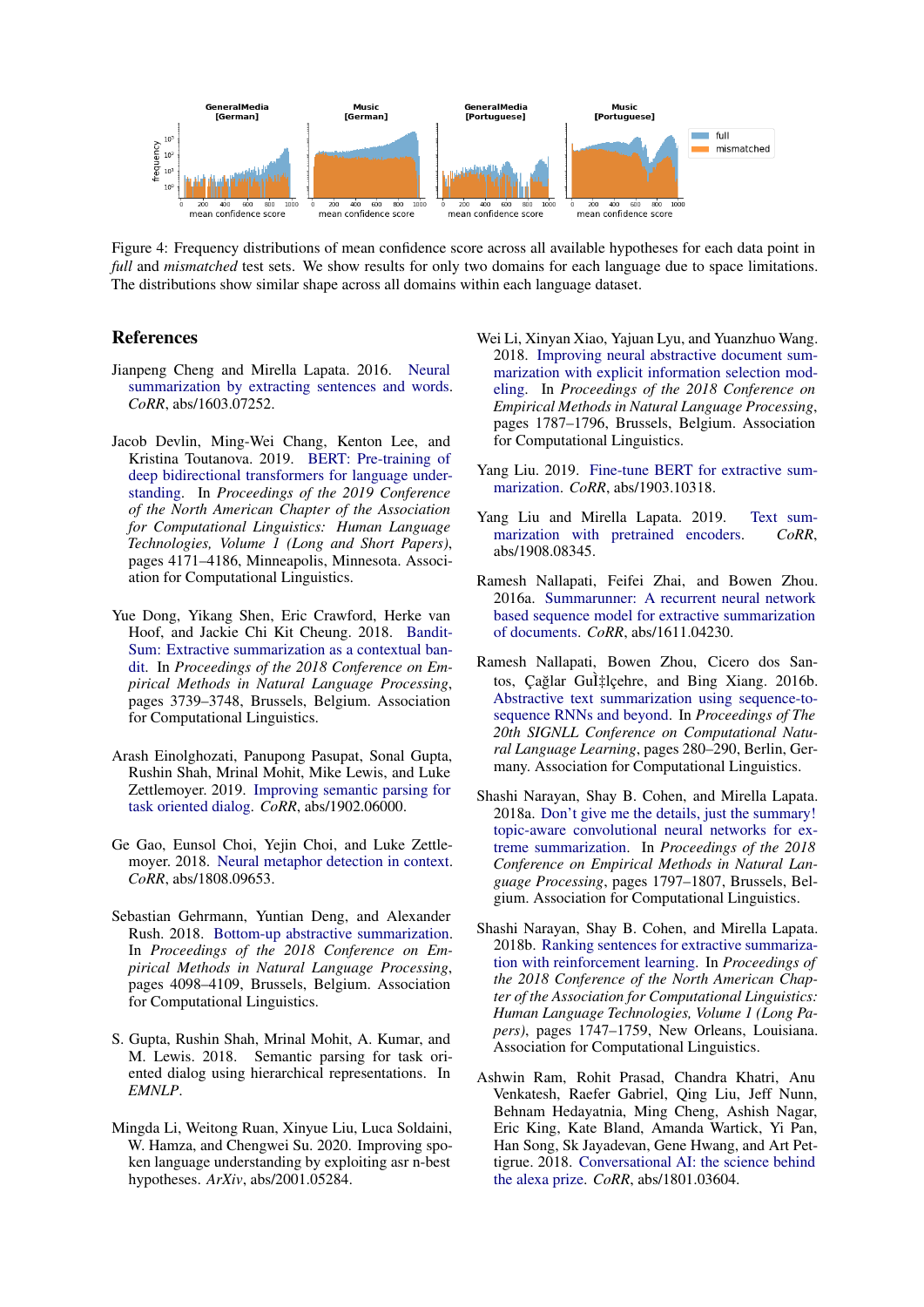<span id="page-8-16"></span>

Figure 4: Frequency distributions of mean confidence score across all available hypotheses for each data point in *full* and *mismatched* test sets. We show results for only two domains for each language due to space limitations. The distributions show similar shape across all domains within each language dataset.

# References

- <span id="page-8-6"></span>Jianpeng Cheng and Mirella Lapata. 2016. [Neural](http://arxiv.org/abs/1603.07252) [summarization by extracting sentences and words.](http://arxiv.org/abs/1603.07252) *CoRR*, abs/1603.07252.
- <span id="page-8-3"></span>Jacob Devlin, Ming-Wei Chang, Kenton Lee, and Kristina Toutanova. 2019. [BERT: Pre-training of](https://doi.org/10.18653/v1/N19-1423) [deep bidirectional transformers for language under](https://doi.org/10.18653/v1/N19-1423)[standing.](https://doi.org/10.18653/v1/N19-1423) In *Proceedings of the 2019 Conference of the North American Chapter of the Association for Computational Linguistics: Human Language Technologies, Volume 1 (Long and Short Papers)*, pages 4171–4186, Minneapolis, Minnesota. Association for Computational Linguistics.
- <span id="page-8-9"></span>Yue Dong, Yikang Shen, Eric Crawford, Herke van Hoof, and Jackie Chi Kit Cheung. 2018. [Bandit-](https://doi.org/10.18653/v1/D18-1409)[Sum: Extractive summarization as a contextual ban](https://doi.org/10.18653/v1/D18-1409)[dit.](https://doi.org/10.18653/v1/D18-1409) In *Proceedings of the 2018 Conference on Empirical Methods in Natural Language Processing*, pages 3739–3748, Brussels, Belgium. Association for Computational Linguistics.
- <span id="page-8-15"></span>Arash Einolghozati, Panupong Pasupat, Sonal Gupta, Rushin Shah, Mrinal Mohit, Mike Lewis, and Luke Zettlemoyer. 2019. [Improving semantic parsing for](http://arxiv.org/abs/1902.06000) [task oriented dialog.](http://arxiv.org/abs/1902.06000) *CoRR*, abs/1902.06000.
- <span id="page-8-1"></span>Ge Gao, Eunsol Choi, Yejin Choi, and Luke Zettlemoyer. 2018. [Neural metaphor detection in context.](http://arxiv.org/abs/1808.09653) *CoRR*, abs/1808.09653.
- <span id="page-8-12"></span>Sebastian Gehrmann, Yuntian Deng, and Alexander Rush. 2018. [Bottom-up abstractive summarization.](https://doi.org/10.18653/v1/D18-1443) In *Proceedings of the 2018 Conference on Empirical Methods in Natural Language Processing*, pages 4098–4109, Brussels, Belgium. Association for Computational Linguistics.
- <span id="page-8-14"></span>S. Gupta, Rushin Shah, Mrinal Mohit, A. Kumar, and M. Lewis. 2018. Semantic parsing for task oriented dialog using hierarchical representations. In *EMNLP*.
- <span id="page-8-2"></span>Mingda Li, Weitong Ruan, Xinyue Liu, Luca Soldaini, W. Hamza, and Chengwei Su. 2020. Improving spoken language understanding by exploiting asr n-best hypotheses. *ArXiv*, abs/2001.05284.
- <span id="page-8-13"></span>Wei Li, Xinyan Xiao, Yajuan Lyu, and Yuanzhuo Wang. 2018. [Improving neural abstractive document sum](https://doi.org/10.18653/v1/D18-1205)[marization with explicit information selection mod](https://doi.org/10.18653/v1/D18-1205)[eling.](https://doi.org/10.18653/v1/D18-1205) In *Proceedings of the 2018 Conference on Empirical Methods in Natural Language Processing*, pages 1787–1796, Brussels, Belgium. Association for Computational Linguistics.
- <span id="page-8-4"></span>Yang Liu. 2019. [Fine-tune BERT for extractive sum](http://arxiv.org/abs/1903.10318)[marization.](http://arxiv.org/abs/1903.10318) *CoRR*, abs/1903.10318.
- <span id="page-8-5"></span>Yang Liu and Mirella Lapata. 2019. [Text sum](http://arxiv.org/abs/1908.08345)[marization with pretrained encoders.](http://arxiv.org/abs/1908.08345) *CoRR*, abs/1908.08345.
- <span id="page-8-7"></span>Ramesh Nallapati, Feifei Zhai, and Bowen Zhou. 2016a. [Summarunner: A recurrent neural network](http://arxiv.org/abs/1611.04230) [based sequence model for extractive summarization](http://arxiv.org/abs/1611.04230) [of documents.](http://arxiv.org/abs/1611.04230) *CoRR*, abs/1611.04230.
- <span id="page-8-11"></span>Ramesh Nallapati, Bowen Zhou, Cicero dos Santos, Çağlar Gul‡lçehre, and Bing Xiang. 2016b. [Abstractive text summarization using sequence-to](https://doi.org/10.18653/v1/K16-1028)[sequence RNNs and beyond.](https://doi.org/10.18653/v1/K16-1028) In *Proceedings of The 20th SIGNLL Conference on Computational Natural Language Learning*, pages 280–290, Berlin, Germany. Association for Computational Linguistics.
- <span id="page-8-10"></span>Shashi Narayan, Shay B. Cohen, and Mirella Lapata. 2018a. [Don't give me the details, just the summary!](https://doi.org/10.18653/v1/D18-1206) [topic-aware convolutional neural networks for ex](https://doi.org/10.18653/v1/D18-1206)[treme summarization.](https://doi.org/10.18653/v1/D18-1206) In *Proceedings of the 2018 Conference on Empirical Methods in Natural Language Processing*, pages 1797–1807, Brussels, Belgium. Association for Computational Linguistics.
- <span id="page-8-8"></span>Shashi Narayan, Shay B. Cohen, and Mirella Lapata. 2018b. [Ranking sentences for extractive summariza](https://doi.org/10.18653/v1/N18-1158)[tion with reinforcement learning.](https://doi.org/10.18653/v1/N18-1158) In *Proceedings of the 2018 Conference of the North American Chapter of the Association for Computational Linguistics: Human Language Technologies, Volume 1 (Long Papers)*, pages 1747–1759, New Orleans, Louisiana. Association for Computational Linguistics.
- <span id="page-8-0"></span>Ashwin Ram, Rohit Prasad, Chandra Khatri, Anu Venkatesh, Raefer Gabriel, Qing Liu, Jeff Nunn, Behnam Hedayatnia, Ming Cheng, Ashish Nagar, Eric King, Kate Bland, Amanda Wartick, Yi Pan, Han Song, Sk Jayadevan, Gene Hwang, and Art Pettigrue. 2018. [Conversational AI: the science behind](http://arxiv.org/abs/1801.03604) [the alexa prize.](http://arxiv.org/abs/1801.03604) *CoRR*, abs/1801.03604.